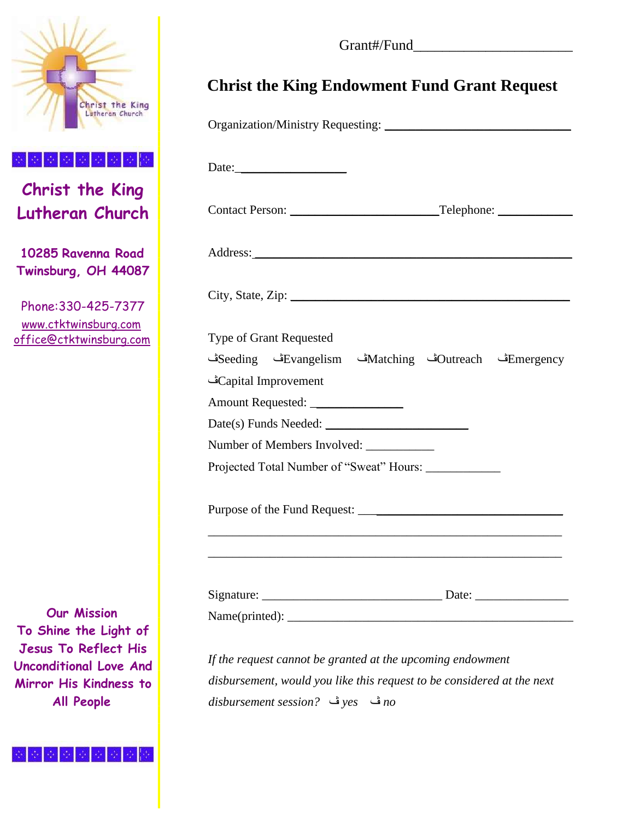

**Christ the King Lutheran Church** 

**10285 Ravenna Road Twinsburg, OH 44087** 

Phone:330-425-7377 www.ctktwinsburg.com office@ctktwinsburg.com

**Our Mission To Shine the Light of Jesus To Reflect His Unconditional Love And Mirror His Kindness to All People** 

Grant#/Fund\_\_\_\_\_\_\_\_\_\_\_\_\_\_\_\_\_\_\_\_\_\_

## **Christ the King Endowment Fund Grant Request**

| City, State, Zip: 2008. Example 2008. The State of Table 2008. The State of Table 2008. The State of Table 2008. The State of Table 2008. The State of Table 2008. The State of Table 2008. The State of Table 2008. The State |
|--------------------------------------------------------------------------------------------------------------------------------------------------------------------------------------------------------------------------------|
|                                                                                                                                                                                                                                |
| Emergencyڭ Matchingش Evangelismف Evangelismقات Seeding                                                                                                                                                                         |
|                                                                                                                                                                                                                                |
|                                                                                                                                                                                                                                |
|                                                                                                                                                                                                                                |
|                                                                                                                                                                                                                                |
|                                                                                                                                                                                                                                |
|                                                                                                                                                                                                                                |
|                                                                                                                                                                                                                                |
| Name(printed):                                                                                                                                                                                                                 |
|                                                                                                                                                                                                                                |

*disbursement session?* ڤ *yes* ڤ *no*